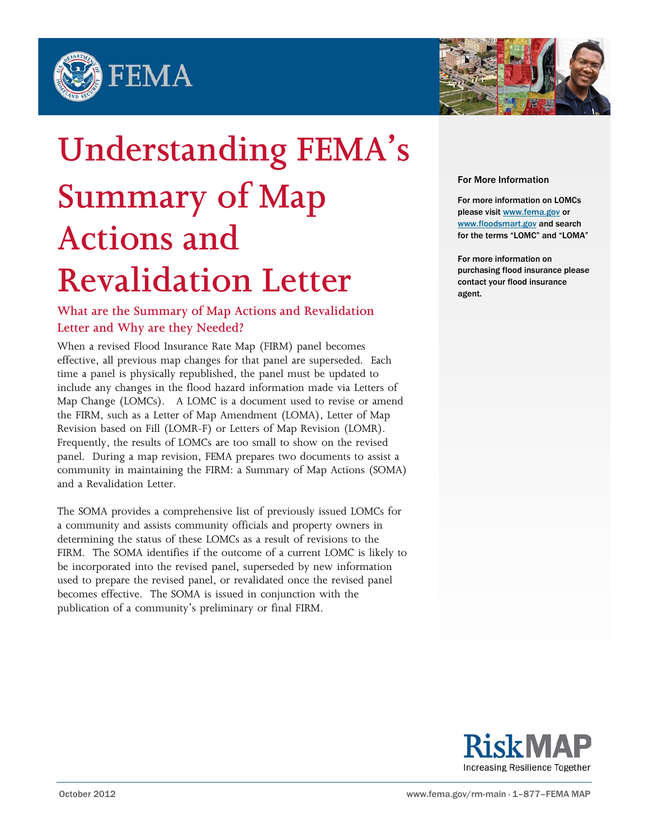



# **Understanding FEMA's Summary of Map Actions and Revalidation Letter**

# **What are the Summary of Map Actions and Revalidation Letter and Why are they Needed?**

When a revised Flood Insurance Rate Map (FIRM) panel becomes effective, all previous map changes for that panel are superseded. Each time a panel is physically republished, the panel must be updated to include any changes in the flood hazard information made via Letters of Map Change (LOMCs). A LOMC is a document used to revise or amend the FIRM, such as a Letter of Map Amendment (LOMA), Letter of Map Revision based on Fill (LOMR-F) or Letters of Map Revision (LOMR). Frequently, the results of LOMCs are too small to show on the revised panel. During a map revision, FEMA prepares two documents to assist a community in maintaining the FIRM: a Summary of Map Actions (SOMA) and a Revalidation Letter.

The SOMA provides a comprehensive list of previously issued LOMCs for a community and assists community officials and property owners in determining the status of these LOMCs as a result of revisions to the FIRM. The SOMA identifies if the outcome of a current LOMC is likely to be incorporated into the revised panel, superseded by new information used to prepare the revised panel, or revalidated once the revised panel becomes effective. The SOMA is issued in conjunction with the publication of a community's preliminary or final FIRM.

#### For More Information

For more information on LOMCs please visit [www.fema.gov](http://www.fema.gov/) or [www.floodsmart.gov](http://www.floodsmart.gov/) and search for the terms "LOMC" and "LOMA"

For more information on purchasing flood insurance please contact your flood insurance agent.

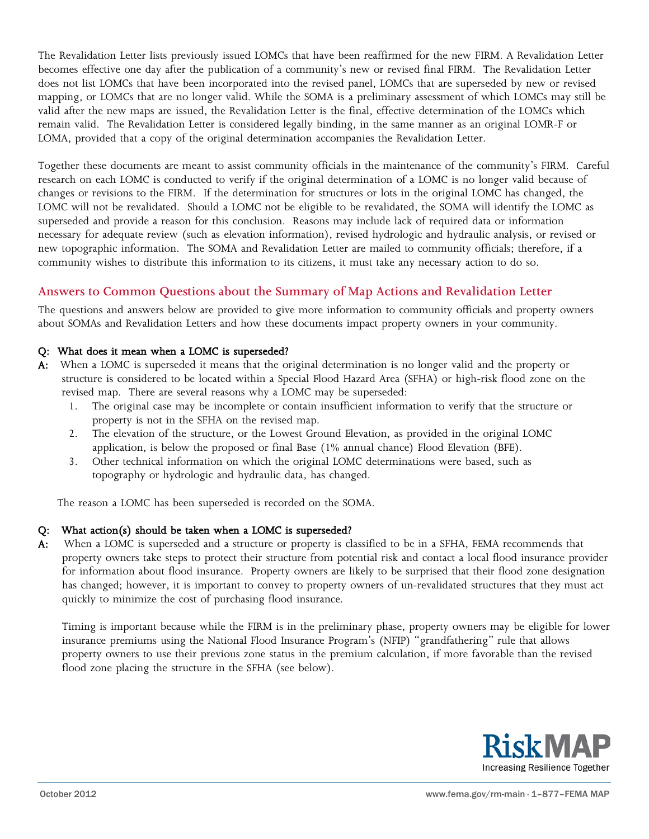The Revalidation Letter lists previously issued LOMCs that have been reaffirmed for the new FIRM. A Revalidation Letter becomes effective one day after the publication of a community's new or revised final FIRM. The Revalidation Letter does not list LOMCs that have been incorporated into the revised panel, LOMCs that are superseded by new or revised mapping, or LOMCs that are no longer valid. While the SOMA is a preliminary assessment of which LOMCs may still be valid after the new maps are issued, the Revalidation Letter is the final, effective determination of the LOMCs which remain valid. The Revalidation Letter is considered legally binding, in the same manner as an original LOMR-F or LOMA, provided that a copy of the original determination accompanies the Revalidation Letter.

Together these documents are meant to assist community officials in the maintenance of the community's FIRM. Careful research on each LOMC is conducted to verify if the original determination of a LOMC is no longer valid because of changes or revisions to the FIRM. If the determination for structures or lots in the original LOMC has changed, the LOMC will not be revalidated. Should a LOMC not be eligible to be revalidated, the SOMA will identify the LOMC as superseded and provide a reason for this conclusion. Reasons may include lack of required data or information necessary for adequate review (such as elevation information), revised hydrologic and hydraulic analysis, or revised or new topographic information. The SOMA and Revalidation Letter are mailed to community officials; therefore, if a community wishes to distribute this information to its citizens, it must take any necessary action to do so.

## **Answers to Common Questions about the Summary of Map Actions and Revalidation Letter**

The questions and answers below are provided to give more information to community officials and property owners about SOMAs and Revalidation Letters and how these documents impact property owners in your community.

#### Q: What does it mean when a LOMC is superseded?

- A: When a LOMC is superseded it means that the original determination is no longer valid and the property or structure is considered to be located within a Special Flood Hazard Area (SFHA) or high-risk flood zone on the revised map. There are several reasons why a LOMC may be superseded:
	- 1. The original case may be incomplete or contain insufficient information to verify that the structure or property is not in the SFHA on the revised map.
	- 2. The elevation of the structure, or the Lowest Ground Elevation, as provided in the original LOMC application, is below the proposed or final Base (1% annual chance) Flood Elevation (BFE).
	- 3. Other technical information on which the original LOMC determinations were based, such as topography or hydrologic and hydraulic data, has changed.

The reason a LOMC has been superseded is recorded on the SOMA.

#### Q: What action(s) should be taken when a LOMC is superseded?

A: When a LOMC is superseded and a structure or property is classified to be in a SFHA, FEMA recommends that property owners take steps to protect their structure from potential risk and contact a local flood insurance provider for information about flood insurance. Property owners are likely to be surprised that their flood zone designation has changed; however, it is important to convey to property owners of un-revalidated structures that they must act quickly to minimize the cost of purchasing flood insurance.

Timing is important because while the FIRM is in the preliminary phase, property owners may be eligible for lower insurance premiums using the National Flood Insurance Program's (NFIP) "grandfathering" rule that allows property owners to use their previous zone status in the premium calculation, if more favorable than the revised flood zone placing the structure in the SFHA (see below).

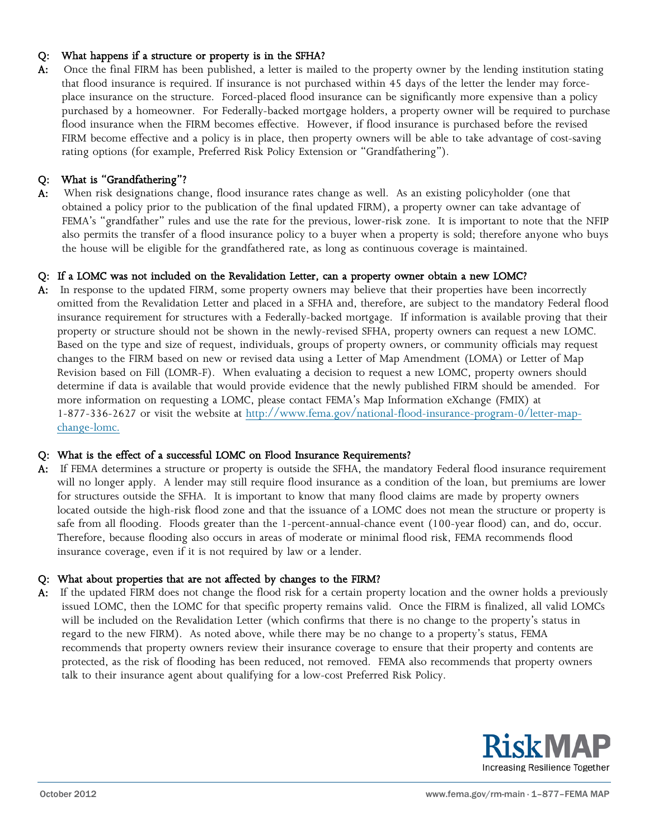### Q: What happens if a structure or property is in the SFHA?

A: Once the final FIRM has been published, a letter is mailed to the property owner by the lending institution stating that flood insurance is required. If insurance is not purchased within 45 days of the letter the lender may forceplace insurance on the structure. Forced-placed flood insurance can be significantly more expensive than a policy purchased by a homeowner. For Federally-backed mortgage holders, a property owner will be required to purchase flood insurance when the FIRM becomes effective. However, if flood insurance is purchased before the revised FIRM become effective and a policy is in place, then property owners will be able to take advantage of cost-saving rating options (for example, Preferred Risk Policy Extension or "Grandfathering").

### Q: What is "Grandfathering"?

A: When risk designations change, flood insurance rates change as well. As an existing policyholder (one that obtained a policy prior to the publication of the final updated FIRM), a property owner can take advantage of FEMA's "grandfather" rules and use the rate for the previous, lower-risk zone. It is important to note that the NFIP also permits the transfer of a flood insurance policy to a buyer when a property is sold; therefore anyone who buys the house will be eligible for the grandfathered rate, as long as continuous coverage is maintained.

#### Q: If a LOMC was not included on the Revalidation Letter, can a property owner obtain a new LOMC?

A: In response to the updated FIRM, some property owners may believe that their properties have been incorrectly omitted from the Revalidation Letter and placed in a SFHA and, therefore, are subject to the mandatory Federal flood insurance requirement for structures with a Federally-backed mortgage. If information is available proving that their property or structure should not be shown in the newly-revised SFHA, property owners can request a new LOMC. Based on the type and size of request, individuals, groups of property owners, or community officials may request changes to the FIRM based on new or revised data using a Letter of Map Amendment (LOMA) or Letter of Map Revision based on Fill (LOMR-F). When evaluating a decision to request a new LOMC, property owners should determine if data is available that would provide evidence that the newly published FIRM should be amended. For more information on requesting a LOMC, please contact FEMA's Map Information eXchange (FMIX) at 1-877-336-2627 or visit the website at [http://www.fema.gov/national-flood-insurance-program-0/letter-map](http://www.fema.gov/national-flood-insurance-program-0/letter-map-change-lomc)[change-lomc.](http://www.fema.gov/national-flood-insurance-program-0/letter-map-change-lomc)

#### Q: What is the effect of a successful LOMC on Flood Insurance Requirements?

A: If FEMA determines a structure or property is outside the SFHA, the mandatory Federal flood insurance requirement will no longer apply. A lender may still require flood insurance as a condition of the loan, but premiums are lower for structures outside the SFHA. It is important to know that many flood claims are made by property owners located outside the high-risk flood zone and that the issuance of a LOMC does not mean the structure or property is safe from all flooding. Floods greater than the 1-percent-annual-chance event (100-year flood) can, and do, occur. Therefore, because flooding also occurs in areas of moderate or minimal flood risk, FEMA recommends flood insurance coverage, even if it is not required by law or a lender.

#### Q: What about properties that are not affected by changes to the FIRM?

A: If the updated FIRM does not change the flood risk for a certain property location and the owner holds a previously issued LOMC, then the LOMC for that specific property remains valid. Once the FIRM is finalized, all valid LOMCs will be included on the Revalidation Letter (which confirms that there is no change to the property's status in regard to the new FIRM). As noted above, while there may be no change to a property's status, FEMA recommends that property owners review their insurance coverage to ensure that their property and contents are protected, as the risk of flooding has been reduced, not removed. FEMA also recommends that property owners talk to their insurance agent about qualifying for a low-cost Preferred Risk Policy.